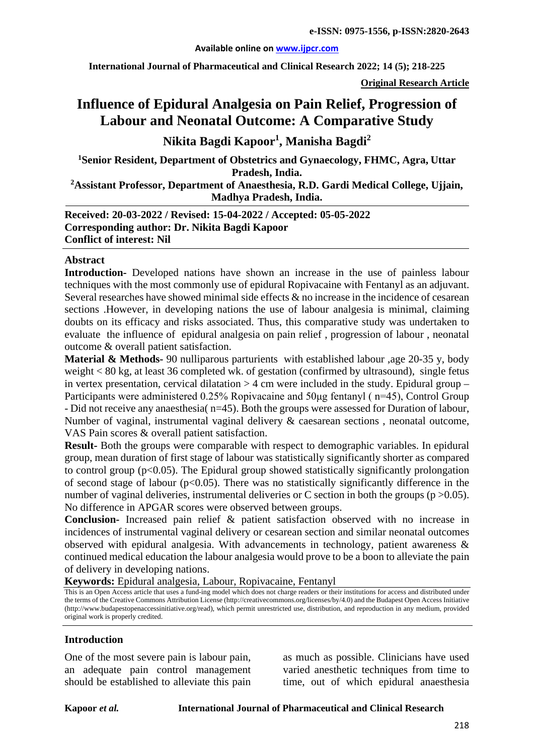#### **Available online on [www.ijpcr.com](http://www.ijpcr.com/)**

**International Journal of Pharmaceutical and Clinical Research 2022; 14 (5); 218-225**

**Original Research Article**

# **Influence of Epidural Analgesia on Pain Relief, Progression of Labour and Neonatal Outcome: A Comparative Study**

**Nikita Bagdi Kapoor1 , Manisha Bagdi2**

**1 Senior Resident, Department of Obstetrics and Gynaecology, FHMC, Agra, Uttar Pradesh, India.**

**2 Assistant Professor, Department of Anaesthesia, R.D. Gardi Medical College, Ujjain, Madhya Pradesh, India.**

**Received: 20-03-2022 / Revised: 15-04-2022 / Accepted: 05-05-2022 Corresponding author: Dr. Nikita Bagdi Kapoor Conflict of interest: Nil**

#### **Abstract**

**Introduction-** Developed nations have shown an increase in the use of painless labour techniques with the most commonly use of epidural Ropivacaine with Fentanyl as an adjuvant. Several researches have showed minimal side effects  $\&$  no increase in the incidence of cesarean sections .However, in developing nations the use of labour analgesia is minimal, claiming doubts on its efficacy and risks associated. Thus, this comparative study was undertaken to evaluate the influence of epidural analgesia on pain relief , progression of labour , neonatal outcome & overall patient satisfaction.

**Material & Methods-** 90 nulliparous parturients with established labour ,age 20-35 y, body weight < 80 kg, at least 36 completed wk. of gestation (confirmed by ultrasound), single fetus in vertex presentation, cervical dilatation  $>$  4 cm were included in the study. Epidural group – Participants were administered 0.25% Ropivacaine and 50μg fentanyl ( n=45), Control Group - Did not receive any anaesthesia( n=45). Both the groups were assessed for Duration of labour, Number of vaginal, instrumental vaginal delivery & caesarean sections , neonatal outcome, VAS Pain scores & overall patient satisfaction.

**Result-** Both the groups were comparable with respect to demographic variables. In epidural group, mean duration of first stage of labour was statistically significantly shorter as compared to control group ( $p<0.05$ ). The Epidural group showed statistically significantly prolongation of second stage of labour ( $p<0.05$ ). There was no statistically significantly difference in the number of vaginal deliveries, instrumental deliveries or C section in both the groups ( $p > 0.05$ ). No difference in APGAR scores were observed between groups.

**Conclusion-** Increased pain relief & patient satisfaction observed with no increase in incidences of instrumental vaginal delivery or cesarean section and similar neonatal outcomes observed with epidural analgesia. With advancements in technology, patient awareness & continued medical education the labour analgesia would prove to be a boon to alleviate the pain of delivery in developing nations.

**Keywords:** Epidural analgesia, Labour, Ropivacaine, Fentanyl

This is an Open Access article that uses a fund-ing model which does not charge readers or their institutions for access and distributed under the terms of the Creative Commons Attribution License (http://creativecommons.org/licenses/by/4.0) and the Budapest Open Access Initiative (http://www.budapestopenaccessinitiative.org/read), which permit unrestricted use, distribution, and reproduction in any medium, provided original work is properly credited.

#### **Introduction**

One of the most severe pain is labour pain, an adequate pain control management should be established to alleviate this pain as much as possible. Clinicians have used varied anesthetic techniques from time to time, out of which epidural anaesthesia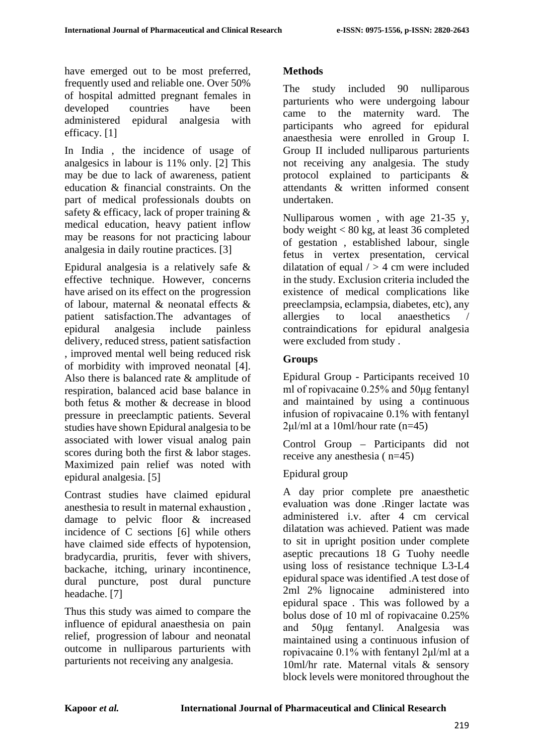have emerged out to be most preferred, frequently used and reliable one. Over 50% of hospital admitted pregnant females in developed countries have been administered epidural analgesia with efficacy. [1]

In India , the incidence of usage of analgesics in labour is 11% only. [2] This may be due to lack of awareness, patient education & financial constraints. On the part of medical professionals doubts on safety & efficacy, lack of proper training & medical education, heavy patient inflow may be reasons for not practicing labour analgesia in daily routine practices. [3]

Epidural analgesia is a relatively safe & effective technique. However, concerns have arised on its effect on the progression of labour, maternal & neonatal effects & patient satisfaction.The advantages of epidural analgesia include painless delivery, reduced stress, patient satisfaction , improved mental well being reduced risk of morbidity with improved neonatal [4]. Also there is balanced rate & amplitude of respiration, balanced acid base balance in both fetus & mother & decrease in blood pressure in preeclamptic patients. Several studies have shown Epidural analgesia to be associated with lower visual analog pain scores during both the first & labor stages. Maximized pain relief was noted with epidural analgesia. [5]

Contrast studies have claimed epidural anesthesia to result in maternal exhaustion , damage to pelvic floor & increased incidence of C sections [6] while others have claimed side effects of hypotension, bradycardia, pruritis, fever with shivers, backache, itching, urinary incontinence, dural puncture, post dural puncture headache. [7]

Thus this study was aimed to compare the influence of epidural anaesthesia on pain relief, progression of labour and neonatal outcome in nulliparous parturients with parturients not receiving any analgesia.

## **Methods**

The study included 90 nulliparous parturients who were undergoing labour came to the maternity ward. The participants who agreed for epidural anaesthesia were enrolled in Group I. Group II included nulliparous parturients not receiving any analgesia. The study protocol explained to participants & attendants & written informed consent undertaken.

Nulliparous women , with age 21-35 y, body weight < 80 kg, at least 36 completed of gestation , established labour, single fetus in vertex presentation, cervical dilatation of equal  $/$  > 4 cm were included in the study. Exclusion criteria included the existence of medical complications like preeclampsia, eclampsia, diabetes, etc), any allergies to local anaesthetics / contraindications for epidural analgesia were excluded from study .

### **Groups**

Epidural Group - Participants received 10 ml of ropivacaine 0.25% and 50μg fentanyl and maintained by using a continuous infusion of ropivacaine 0.1% with fentanyl  $2\mu$ l/ml at a 10ml/hour rate (n=45)

Control Group – Participants did not receive any anesthesia ( n=45)

### Epidural group

A day prior complete pre anaesthetic evaluation was done .Ringer lactate was administered i.v. after 4 cm cervical dilatation was achieved. Patient was made to sit in upright position under complete aseptic precautions 18 G Tuohy needle using loss of resistance technique L3-L4 epidural space was identified .A test dose of 2ml 2% lignocaine administered into epidural space . This was followed by a bolus dose of 10 ml of ropivacaine 0.25% and 50μg fentanyl. Analgesia was maintained using a continuous infusion of ropivacaine 0.1% with fentanyl 2μl/ml at a 10ml/hr rate. Maternal vitals & sensory block levels were monitored throughout the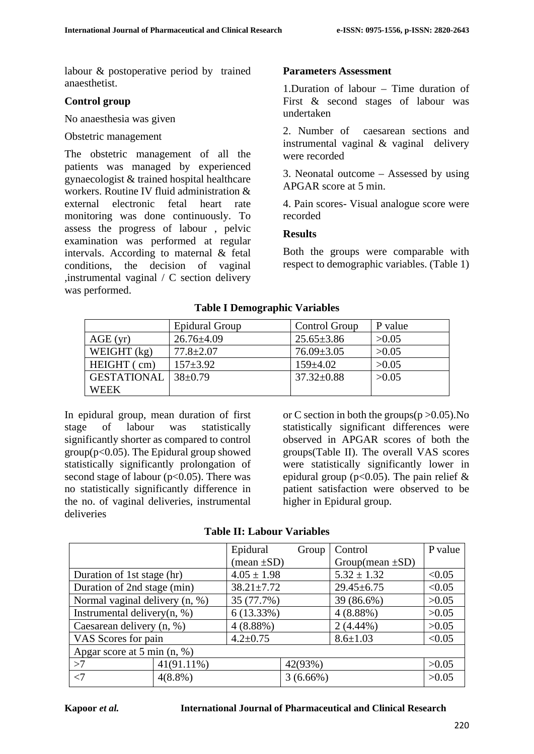labour & postoperative period by trained anaesthetist.

### **Control group**

No anaesthesia was given

#### Obstetric management

The obstetric management of all the patients was managed by experienced gynaecologist & trained hospital healthcare workers. Routine IV fluid administration & external electronic fetal heart rate monitoring was done continuously. To assess the progress of labour , pelvic examination was performed at regular intervals. According to maternal & fetal conditions, the decision of vaginal ,instrumental vaginal / C section delivery was performed.

### **Parameters Assessment**

1.Duration of labour – Time duration of First & second stages of labour was undertaken

2. Number of caesarean sections and instrumental vaginal & vaginal delivery were recorded

3. Neonatal outcome – Assessed by using APGAR score at 5 min.

4. Pain scores- Visual analogue score were recorded

#### **Results**

Both the groups were comparable with respect to demographic variables. (Table 1)

|                    | <b>Epidural Group</b> | <b>Control Group</b> | P value |
|--------------------|-----------------------|----------------------|---------|
| AGE(yr)            | $26.76 \pm 4.09$      | $25.65 \pm 3.86$     | >0.05   |
| WEIGHT $(kg)$      | $77.8 \pm 2.07$       | $76.09 \pm 3.05$     | >0.05   |
| HEIGHT (cm)        | $157 + 3.92$          | $159 + 4.02$         | >0.05   |
| <b>GESTATIONAL</b> | $38 \pm 0.79$         | $37.32 \pm 0.88$     | >0.05   |
| WEEK               |                       |                      |         |

#### **Table I Demographic Variables**

In epidural group, mean duration of first stage of labour was statistically significantly shorter as compared to control  $group(p<0.05)$ . The Epidural group showed statistically significantly prolongation of second stage of labour  $(p<0.05)$ . There was no statistically significantly difference in the no. of vaginal deliveries, instrumental deliveries

or C section in both the groups $(p > 0.05)$ . No statistically significant differences were observed in APGAR scores of both the groups(Table II). The overall VAS scores were statistically significantly lower in epidural group ( $p<0.05$ ). The pain relief & patient satisfaction were observed to be higher in Epidural group.

|  | <b>Table II: Labour Variables</b> |
|--|-----------------------------------|
|--|-----------------------------------|

|                                |               | Epidural                      | Group       | Control               | P value |  |
|--------------------------------|---------------|-------------------------------|-------------|-----------------------|---------|--|
|                                |               | $(\text{mean} \pm S\text{D})$ |             | Group(mean $\pm SD$ ) |         |  |
| Duration of 1st stage (hr)     |               | $4.05 \pm 1.98$               |             | $5.32 \pm 1.32$       | < 0.05  |  |
| Duration of 2nd stage (min)    |               | $38.21 \pm 7.72$              |             | $29.45 \pm 6.75$      | < 0.05  |  |
| Normal vaginal delivery (n, %) |               | 35 (77.7%)                    |             | 39 (86.6%)            | >0.05   |  |
| Instrumental delivery $(n, %)$ |               | $6(13.33\%)$                  |             | $4(8.88\%)$           | >0.05   |  |
| Caesarean delivery (n, %)      |               | $4(8.88\%)$                   |             | $2(4.44\%)$           | >0.05   |  |
| VAS Scores for pain            |               | $4.2 \pm 0.75$                |             | $8.6 \pm 1.03$        | < 0.05  |  |
| Apgar score at 5 min $(n, %)$  |               |                               |             |                       |         |  |
| >7                             | $41(91.11\%)$ |                               | 42(93%)     |                       | >0.05   |  |
| $\leq$                         | $4(8.8\%)$    |                               | $3(6.66\%)$ |                       | >0.05   |  |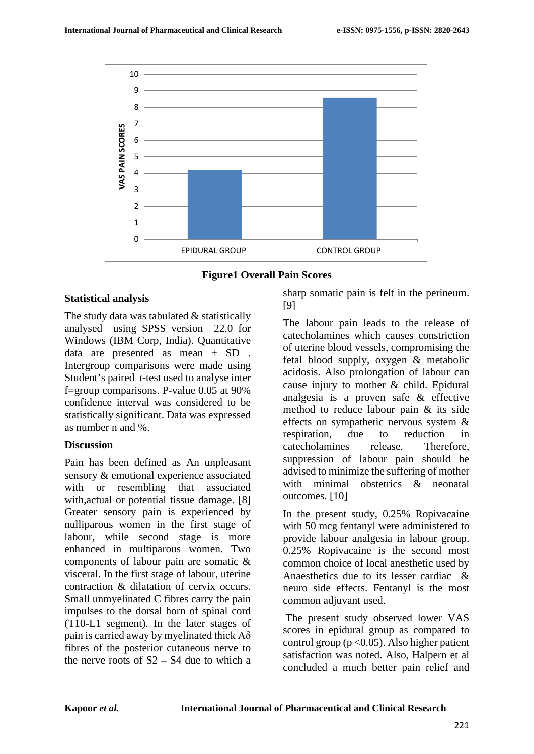

**Figure1 Overall Pain Scores**

### **Statistical analysis**

The study data was tabulated & statistically analysed using SPSS version 22.0 for Windows (IBM Corp, India). Quantitative data are presented as mean ± SD . Intergroup comparisons were made using Student's paired *t*-test used to analyse inter f=group comparisons. P-value 0.05 at 90% confidence interval was considered to be statistically significant. Data was expressed as number n and %.

### **Discussion**

Pain has been defined as An unpleasant sensory & emotional experience associated with or resembling that associated with, actual or potential tissue damage. [8] Greater sensory pain is experienced by nulliparous women in the first stage of labour, while second stage is more enhanced in multiparous women. Two components of labour pain are somatic & visceral. In the first stage of labour, uterine contraction & dilatation of cervix occurs. Small unmyelinated C fibres carry the pain impulses to the dorsal horn of spinal cord (T10-L1 segment). In the later stages of pain is carried away by myelinated thick  $A\delta$ fibres of the posterior cutaneous nerve to the nerve roots of  $S2 - S4$  due to which a sharp somatic pain is felt in the perineum. [9]

The labour pain leads to the release of catecholamines which causes constriction of uterine blood vessels, compromising the fetal blood supply, oxygen & metabolic acidosis. Also prolongation of labour can cause injury to mother & child. Epidural analgesia is a proven safe & effective method to reduce labour pain & its side effects on sympathetic nervous system & respiration, due to reduction in catecholamines release. Therefore, suppression of labour pain should be advised to minimize the suffering of mother with minimal obstetrics & neonatal outcomes. [10]

In the present study, 0.25% Ropivacaine with 50 mcg fentanyl were administered to provide labour analgesia in labour group. 0.25% Ropivacaine is the second most common choice of local anesthetic used by Anaesthetics due to its lesser cardiac & neuro side effects. Fentanyl is the most common adjuvant used.

The present study observed lower VAS scores in epidural group as compared to control group ( $p < 0.05$ ). Also higher patient satisfaction was noted. Also, Halpern et al concluded a much better pain relief and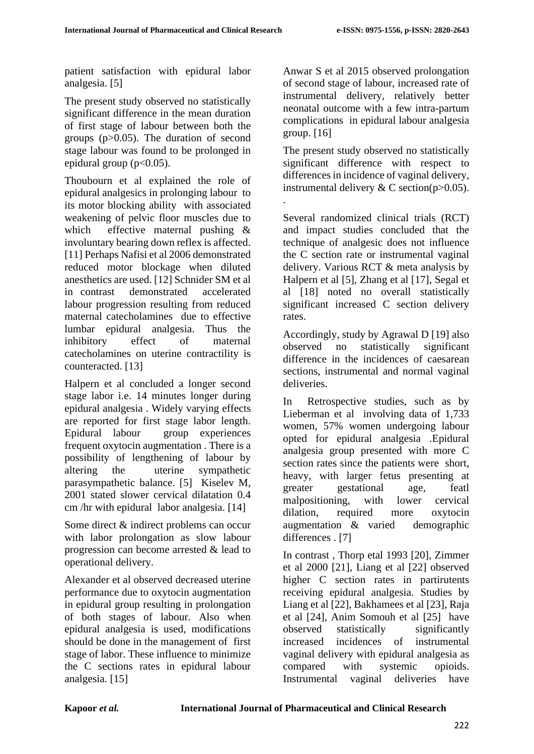patient satisfaction with epidural labor analgesia. [5]

The present study observed no statistically significant difference in the mean duration of first stage of labour between both the groups (p>0.05). The duration of second stage labour was found to be prolonged in epidural group  $(p<0.05)$ .

Thoubourn et al explained the role of epidural analgesics in prolonging labour to its motor blocking ability with associated weakening of pelvic floor muscles due to which effective maternal pushing & involuntary bearing down reflex is affected. [11] Perhaps Nafisi et al 2006 demonstrated reduced motor blockage when diluted anesthetics are used. [12] Schnider SM et al in contrast demonstrated accelerated labour progression resulting from reduced maternal catecholamines due to effective lumbar epidural analgesia. Thus the inhibitory effect of maternal catecholamines on uterine contractility is counteracted. [13]

Halpern et al concluded a longer second stage labor i.e. 14 minutes longer during epidural analgesia . Widely varying effects are reported for first stage labor length. Epidural labour group experiences frequent oxytocin augmentation . There is a possibility of lengthening of labour by altering the uterine sympathetic parasympathetic balance. [5] Kiselev M, 2001 stated slower cervical dilatation 0.4 cm /hr with epidural labor analgesia. [14]

Some direct & indirect problems can occur with labor prolongation as slow labour progression can become arrested & lead to operational delivery.

Alexander et al observed decreased uterine performance due to oxytocin augmentation in epidural group resulting in prolongation of both stages of labour. Also when epidural analgesia is used, modifications should be done in the management of first stage of labor. These influence to minimize the C sections rates in epidural labour analgesia. [15]

Anwar S et al 2015 observed prolongation of second stage of labour, increased rate of instrumental delivery, relatively better neonatal outcome with a few intra-partum complications in epidural labour analgesia group. [16]

The present study observed no statistically significant difference with respect to differences in incidence of vaginal delivery, instrumental delivery  $& C$  section(p $>0.05$ ). .

Several randomized clinical trials (RCT) and impact studies concluded that the technique of analgesic does not influence the C section rate or instrumental vaginal delivery. Various RCT & meta analysis by Halpern et al [5], Zhang et al [17], Segal et al [18] noted no overall statistically significant increased C section delivery rates.

Accordingly, study by Agrawal D [19] also observed no statistically significant difference in the incidences of caesarean sections, instrumental and normal vaginal deliveries.

In Retrospective studies, such as by Lieberman et al involving data of 1,733 women, 57% women undergoing labour opted for epidural analgesia .Epidural analgesia group presented with more C section rates since the patients were short, heavy, with larger fetus presenting at greater gestational age, featl malpositioning, with lower cervical dilation, required more oxytocin augmentation & varied demographic differences . [7]

In contrast , Thorp etal 1993 [20], Zimmer et al 2000 [21], Liang et al [22] observed higher C section rates in partirutents receiving epidural analgesia. Studies by Liang et al [22], Bakhamees et al [23], Raja et al [24], Anim Somouh et al [25] have observed statistically significantly increased incidences of instrumental vaginal delivery with epidural analgesia as compared with systemic opioids. Instrumental vaginal deliveries have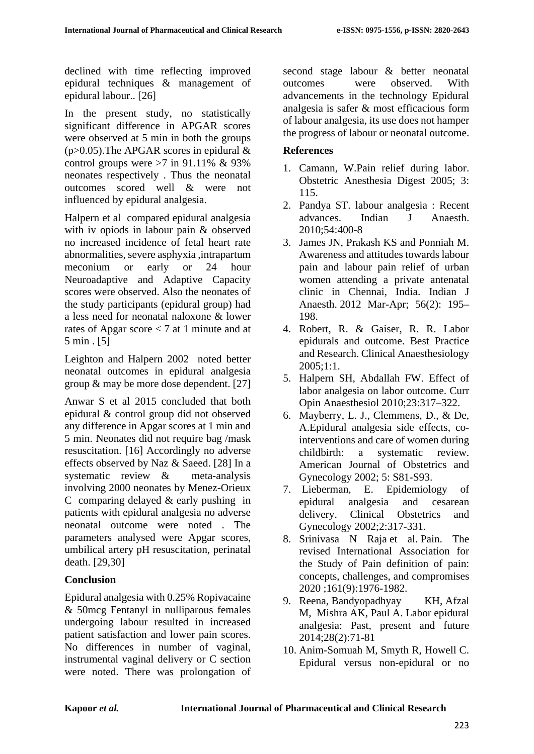declined with time reflecting improved epidural techniques & management of epidural labour.. [26]

In the present study, no statistically significant difference in APGAR scores were observed at 5 min in both the groups  $(p>0.05)$ . The APGAR scores in epidural & control groups were  $>7$  in 91.11% & 93% neonates respectively . Thus the neonatal outcomes scored well & were not influenced by epidural analgesia.

Halpern et al compared epidural analgesia with iv opiods in labour pain & observed no increased incidence of fetal heart rate abnormalities, severe asphyxia ,intrapartum meconium or early or 24 hour Neuroadaptive and Adaptive Capacity scores were observed. Also the neonates of the study participants (epidural group) had a less need for neonatal naloxone & lower rates of Apgar score < 7 at 1 minute and at 5 min . [5]

Leighton and Halpern 2002 noted better neonatal outcomes in epidural analgesia group & may be more dose dependent. [27]

Anwar S et al 2015 concluded that both epidural & control group did not observed any difference in Apgar scores at 1 min and 5 min. Neonates did not require bag /mask resuscitation. [16] Accordingly no adverse effects observed by Naz & Saeed. [28] In a systematic review & meta-analysis involving 2000 neonates by Menez-Orieux C comparing delayed & early pushing in patients with epidural analgesia no adverse neonatal outcome were noted . The parameters analysed were Apgar scores, umbilical artery pH resuscitation, perinatal death. [29,30]

### **Conclusion**

Epidural analgesia with 0.25% Ropivacaine & 50mcg Fentanyl in nulliparous females undergoing labour resulted in increased patient satisfaction and lower pain scores. No differences in number of vaginal, instrumental vaginal delivery or C section were noted. There was prolongation of second stage labour & better neonatal outcomes were observed. With advancements in the technology Epidural analgesia is safer & most efficacious form of labour analgesia, its use does not hamper the progress of labour or neonatal outcome.

### **References**

- 1. Camann, W.Pain relief during labor. Obstetric Anesthesia Digest 2005; 3: 115.
- 2. Pandya ST. labour analgesia : Recent advances. Indian J Anaesth. 2010;54:400-8
- 3. James JN, Prakash KS and Ponniah M. Awareness and attitudes towards labour pain and labour pain relief of urban women attending a private antenatal clinic in Chennai, India. Indian J Anaesth. 2012 Mar-Apr; 56(2): 195– 198.
- 4. Robert, R. & Gaiser, R. R. Labor epidurals and outcome. Best Practice and Research. Clinical Anaesthesiology 2005;1:1.
- 5. Halpern SH, Abdallah FW. Effect of labor analgesia on labor outcome. Curr Opin Anaesthesiol 2010;23:317–322.
- 6. Mayberry, L. J., Clemmens, D., & De, A.Epidural analgesia side effects, cointerventions and care of women during childbirth: a systematic review. American Journal of Obstetrics and Gynecology 2002; 5: S81-S93.
- 7. Lieberman, E. Epidemiology of epidural analgesia and cesarean delivery. Clinical Obstetrics and Gynecology 2002;2:317-331.
- 8. Srinivasa N Raja et al. Pain. The revised International Association for the Study of Pain definition of pain: concepts, challenges, and compromises 2020 ;161(9):1976-1982.
- 9. [Reena,](https://indianjpain.org/searchresult.asp?search=&author=Reena&journal=Y&but_search=Search&entries=10&pg=1&s=0) [Bandyopadhyay](https://indianjpain.org/searchresult.asp?search=&author=Kasturi+H%2E+Bandyopadhyay&journal=Y&but_search=Search&entries=10&pg=1&s=0) KH, [Afzal](https://indianjpain.org/searchresult.asp?search=&author=Mumtaz+Afzal&journal=Y&but_search=Search&entries=10&pg=1&s=0) M, [Mishra](https://indianjpain.org/searchresult.asp?search=&author=Amiya+K%2E+Mishra&journal=Y&but_search=Search&entries=10&pg=1&s=0) AK, [Paul](https://indianjpain.org/searchresult.asp?search=&author=Abhijit+Paul&journal=Y&but_search=Search&entries=10&pg=1&s=0) A. Labor epidural analgesia: Past, present and future 2014;28(2):71-81
- 10. Anim-Somuah M, Smyth R, Howell C. Epidural versus non-epidural or no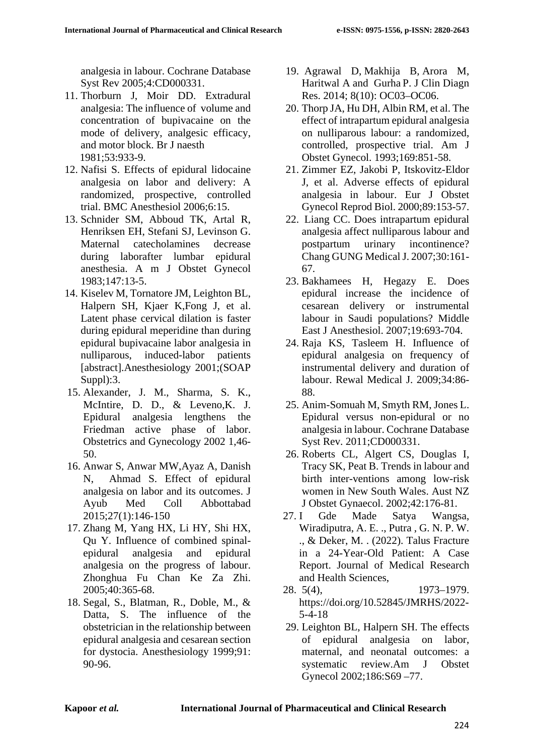analgesia in labour. Cochrane Database Syst Rev 2005;4:CD000331.

- 11. Thorburn J, Moir DD. Extradural analgesia: The influence of volume and concentration of bupivacaine on the mode of delivery, analgesic efficacy, and motor block. Br J naesth 1981;53:933-9.
- 12. Nafisi S. Effects of epidural lidocaine analgesia on labor and delivery: A randomized, prospective, controlled trial. BMC Anesthesiol 2006;6:15.
- 13. Schnider SM, Abboud TK, Artal R, Henriksen EH, Stefani SJ, Levinson G. Maternal catecholamines decrease during laborafter lumbar epidural anesthesia. A m J Obstet Gynecol 1983;147:13-5.
- 14. Kiselev M, Tornatore JM, Leighton BL, Halpern SH, Kjaer K,Fong J, et al. Latent phase cervical dilation is faster during epidural meperidine than during epidural bupivacaine labor analgesia in nulliparous, induced-labor patients [abstract].Anesthesiology 2001;(SOAP Suppl):3.
- 15. Alexander, J. M., Sharma, S. K., McIntire, D. D., & Leveno,K. J. Epidural analgesia lengthens the Friedman active phase of labor. Obstetrics and Gynecology 2002 1,46- 50.
- 16. Anwar S, Anwar MW,Ayaz A, Danish N, Ahmad S. Effect of epidural analgesia on labor and its outcomes. J Ayub Med Coll Abbottabad 2015;27(1):146-150
- 17. Zhang M, Yang HX, Li HY, Shi HX, Qu Y. Influence of combined spinalepidural analgesia and epidural analgesia on the progress of labour. Zhonghua Fu Chan Ke Za Zhi. 2005;40:365-68.
- 18. Segal, S., Blatman, R., Doble, M., & Datta, S. The influence of the obstetrician in the relationship between epidural analgesia and cesarean section for dystocia. Anesthesiology 1999;91: 90-96.
- 19. Agrawal D, Makhija B, Arora M, Haritwal A and Gurha P. J Clin Diagn Res. 2014; 8(10): OC03–OC06.
- 20. Thorp JA, Hu DH, Albin RM, et al. The effect of intrapartum epidural analgesia on nulliparous labour: a randomized, controlled, prospective trial. Am J Obstet Gynecol. 1993;169:851-58.
- 21. Zimmer EZ, Jakobi P, Itskovitz-Eldor J, et al. Adverse effects of epidural analgesia in labour. Eur J Obstet Gynecol Reprod Biol. 2000;89:153-57.
- 22. Liang CC. Does intrapartum epidural analgesia affect nulliparous labour and postpartum urinary incontinence? Chang GUNG Medical J. 2007;30:161- 67.
- 23. Bakhamees H, Hegazy E. Does epidural increase the incidence of cesarean delivery or instrumental labour in Saudi populations? Middle East J Anesthesiol. 2007;19:693-704.
- 24. Raja KS, Tasleem H. Influence of epidural analgesia on frequency of instrumental delivery and duration of labour. Rewal Medical J. 2009;34:86- 88.
- 25. Anim-Somuah M, Smyth RM, Jones L. Epidural versus non-epidural or no analgesia in labour. Cochrane Database Syst Rev. 2011;CD000331.
- 26. Roberts CL, Algert CS, Douglas I, Tracy SK, Peat B. Trends in labour and birth inter-ventions among low-risk women in New South Wales. Aust NZ J Obstet Gynaecol. 2002;42:176-81.
- 27. I Gde Made Satya Wangsa, Wiradiputra, A. E. ., Putra , G. N. P. W. ., & Deker, M. . (2022). Talus Fracture in a 24-Year-Old Patient: A Case Report. Journal of Medical Research and Health Sciences,
- 28. 5(4), 1973–1979. https://doi.org/10.52845/JMRHS/2022- 5-4-18
- 29. Leighton BL, Halpern SH. The effects of epidural analgesia on labor, maternal, and neonatal outcomes: a systematic review.Am J Obstet Gynecol 2002;186:S69 –77.